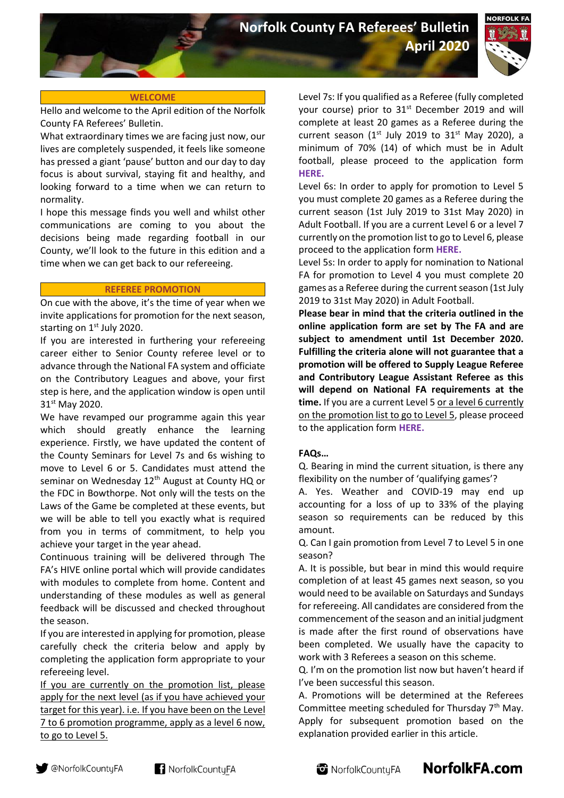**April 2020**



## **WELCOME**

Hello and welcome to the April edition of the Norfolk County FA Referees' Bulletin.

What extraordinary times we are facing just now, our lives are completely suspended, it feels like someone has pressed a giant 'pause' button and our day to day focus is about survival, staying fit and healthy, and looking forward to a time when we can return to normality.

I hope this message finds you well and whilst other communications are coming to you about the decisions being made regarding football in our County, we'll look to the future in this edition and a time when we can get back to our refereeing.

### **REFEREE PROMOTION**

On cue with the above, it's the time of year when we invite applications for promotion for the next season, starting on 1st July 2020.

If you are interested in furthering your refereeing career either to Senior County referee level or to advance through the National FA system and officiate on the Contributory Leagues and above, your first step is here, and the application window is open until 31<sup>st</sup> May 2020.

We have revamped our programme again this year which should greatly enhance the learning experience. Firstly, we have updated the content of the County Seminars for Level 7s and 6s wishing to move to Level 6 or 5. Candidates must attend the seminar on Wednesday 12<sup>th</sup> August at County HQ or the FDC in Bowthorpe. Not only will the tests on the Laws of the Game be completed at these events, but we will be able to tell you exactly what is required from you in terms of commitment, to help you achieve your target in the year ahead.

Continuous training will be delivered through The FA's HIVE online portal which will provide candidates with modules to complete from home. Content and understanding of these modules as well as general feedback will be discussed and checked throughout the season.

If you are interested in applying for promotion, please carefully check the criteria below and apply by completing the application form appropriate to your refereeing level.

If you are currently on the promotion list, please apply for the next level (as if you have achieved your target for this year). i.e. If you have been on the Level 7 to 6 promotion programme, apply as a level 6 now, to go to Level 5.

Level 7s: If you qualified as a Referee (fully completed your course) prior to  $31<sup>st</sup>$  December 2019 and will complete at least 20 games as a Referee during the current season ( $1<sup>st</sup>$  July 2019 to  $31<sup>st</sup>$  May 2020), a minimum of 70% (14) of which must be in Adult football, please proceed to the application form **[HERE.](https://forms.office.com/Pages/ResponsePage.aspx?id=kCXJRcbM-UaA_5_I2e3eOfUi1o_hPdFJnpgJIQR7wcBUNzJKNDVINFNFVzZUU0xQWjI5VDJOMkdWSy4u)**

Level 6s: In order to apply for promotion to Level 5 you must complete 20 games as a Referee during the current season (1st July 2019 to 31st May 2020) in Adult Football. If you are a current Level 6 or a level 7 currently on the promotion list to go to Level 6, please proceed to the application form **[HERE.](https://forms.office.com/Pages/ResponsePage.aspx?id=kCXJRcbM-UaA_5_I2e3eOfUi1o_hPdFJnpgJIQR7wcBUNFMwV0swWkdLOUM0UTExS1g1VkdQNUlLQi4u)**

Level 5s: In order to apply for nomination to National FA for promotion to Level 4 you must complete 20 games as a Referee during the current season (1st July 2019 to 31st May 2020) in Adult Football.

**Please bear in mind that the criteria outlined in the online application form are set by The FA and are subject to amendment until 1st December 2020. Fulfilling the criteria alone will not guarantee that a promotion will be offered to Supply League Referee and Contributory League Assistant Referee as this will depend on National FA requirements at the time.** If you are a current Level 5 or a level 6 currently on the promotion list to go to Level 5, please proceed to the application form **[HERE.](https://forms.office.com/Pages/ResponsePage.aspx?id=kCXJRcbM-UaA_5_I2e3eOfUi1o_hPdFJnpgJIQR7wcBUNDBSRzRaV05HVkJPWFAyUEVMQllISTlSNy4u)**

# **FAQs…**

Q. Bearing in mind the current situation, is there any flexibility on the number of 'qualifying games'?

A. Yes. Weather and COVID-19 may end up accounting for a loss of up to 33% of the playing season so requirements can be reduced by this amount.

Q. Can I gain promotion from Level 7 to Level 5 in one season?

A. It is possible, but bear in mind this would require completion of at least 45 games next season, so you would need to be available on Saturdays and Sundays for refereeing. All candidates are considered from the commencement of the season and an initial judgment is made after the first round of observations have been completed. We usually have the capacity to work with 3 Referees a season on this scheme.

Q. I'm on the promotion list now but haven't heard if I've been successful this season.

A. Promotions will be determined at the Referees Committee meeting scheduled for Thursday 7<sup>th</sup> May. Apply for subsequent promotion based on the explanation provided earlier in this article.